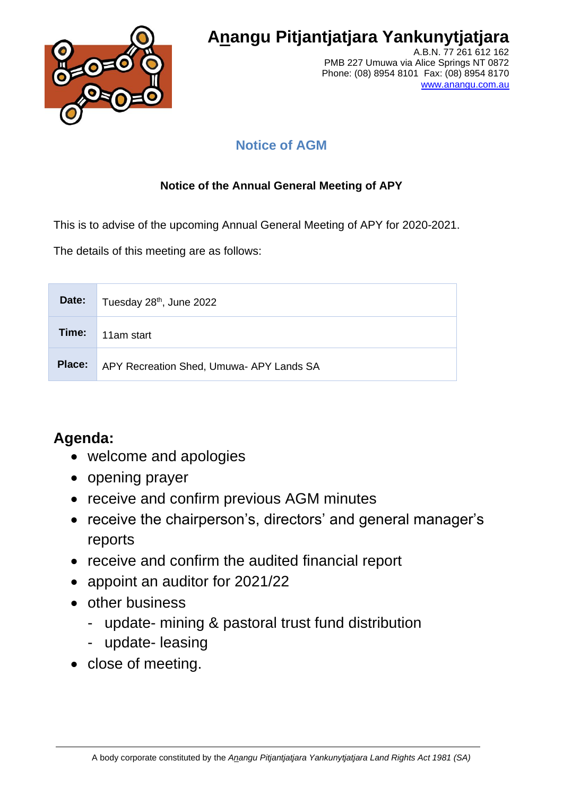

# **Anangu Pitjantjatjara Yankunytjatjara**

A.B.N. 77 261 612 162 PMB 227 Umuwa via Alice Springs NT 0872 Phone: (08) 8954 8101 Fax: (08) 8954 8170 [www.anangu.com.au](http://www.anangu.com.au/)

### **Notice of AGM**

### **Notice of the Annual General Meeting of APY**

This is to advise of the upcoming Annual General Meeting of APY for 2020-2021.

The details of this meeting are as follows:

| Date:  | Tuesday 28 <sup>th</sup> , June 2022    |
|--------|-----------------------------------------|
| Time:  | 11am start                              |
| Place: | APY Recreation Shed, Umuwa-APY Lands SA |

## **Agenda:**

- welcome and apologies
- opening prayer
- receive and confirm previous AGM minutes
- receive the chairperson's, directors' and general manager's reports
- receive and confirm the audited financial report
- appoint an auditor for 2021/22
- other business
	- update- mining & pastoral trust fund distribution
	- update- leasing
- close of meeting.